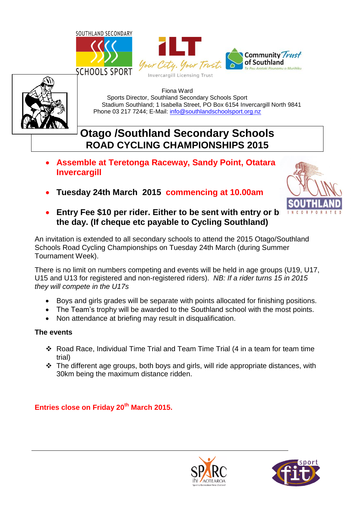





Fiona Ward Sports Director, Southland Secondary Schools Sport Stadium Southland; 1 Isabella Street, PO Box 6154 Invercargill North 9841 Phone 03 217 7244; E-Mail: [info@southlandschoolsport.org.nz](mailto:info@southlandschoolsport.org.nz)

## **Otago /Southland Secondary Schools ROAD CYCLING CHAMPIONSHIPS 2015**

- **Assemble at Teretonga Raceway, Sandy Point, Otatara Invercargill**
- **Tuesday 24th March 2015 commencing at 10.00am**
- **Entry Fee \$10 per rider. Either to be sent with entry or bethe day. (If cheque etc payable to Cycling Southland)**



There is no limit on numbers competing and events will be held in age groups (U19, U17, U15 and U13 for registered and non-registered riders). *NB: If a rider turns 15 in 2015 they will compete in the U17s*

- Boys and girls grades will be separate with points allocated for finishing positions.
- The Team's trophy will be awarded to the Southland school with the most points.
- Non attendance at briefing may result in disqualification.

## **The events**

- Road Race, Individual Time Trial and Team Time Trial (4 in a team for team time trial)
- $\cdot$  The different age groups, both boys and girls, will ride appropriate distances, with 30km being the maximum distance ridden.

**Entries close on Friday 20 th March 2015.**